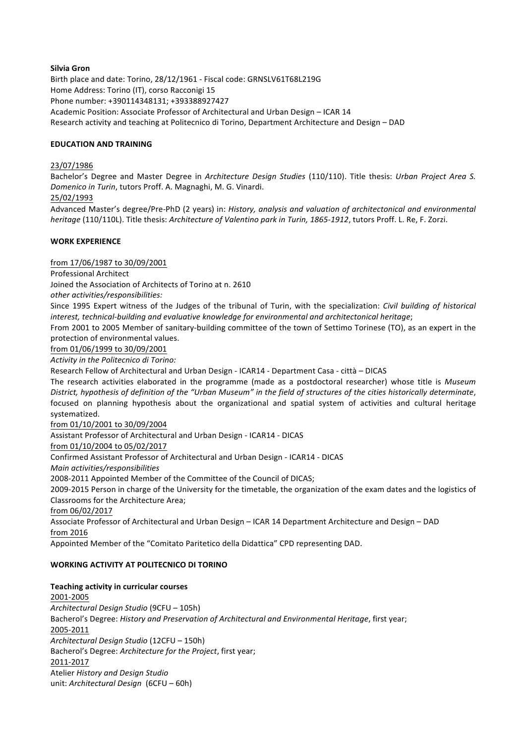### **Silvia Gron**

Birth place and date: Torino, 28/12/1961 - Fiscal code: GRNSLV61T68L219G Home Address: Torino (IT), corso Racconigi 15 Phone number: +390114348131; +393388927427 Academic Position: Associate Professor of Architectural and Urban Design - ICAR 14 Research activity and teaching at Politecnico di Torino, Department Architecture and Design - DAD

### **EDUCATION AND TRAINING**

### 23/07/1986

Bachelor's Degree and Master Degree in Architecture Design Studies (110/110). Title thesis: Urban Project Area S. Domenico in Turin, tutors Proff. A. Magnaghi, M. G. Vinardi.

#### 25/02/1993

Advanced Master's degree/Pre-PhD (2 years) in: *History, analysis and valuation of architectonical and environmental heritage* (110/110L). Title thesis: Architecture of Valentino park in Turin, 1865-1912, tutors Proff. L. Re, F. Zorzi.

#### **WORK EXPERIENCE**

from 17/06/1987 to 30/09/2001 

Professional Architect

Joined the Association of Architects of Torino at n. 2610

*other activities/responsibilities:* 

Since 1995 Expert witness of the Judges of the tribunal of Turin, with the specialization: *Civil building of historical* interest, technical-building and evaluative knowledge for environmental and architectonical heritage;

From 2001 to 2005 Member of sanitary-building committee of the town of Settimo Torinese (TO), as an expert in the protection of environmental values.

#### from 01/06/1999 to 30/09/2001

Activity in the Politecnico di Torino:

Research Fellow of Architectural and Urban Design - ICAR14 - Department Casa - città - DICAS

The research activities elaborated in the programme (made as a postdoctoral researcher) whose title is Museum District, hypothesis of definition of the "Urban Museum" in the field of structures of the cities historically determinate, focused on planning hypothesis about the organizational and spatial system of activities and cultural heritage systematized.

from 01/10/2001 to 30/09/2004

Assistant Professor of Architectural and Urban Design - ICAR14 - DICAS

from 01/10/2004 to 05/02/2017

Confirmed Assistant Professor of Architectural and Urban Design - ICAR14 - DICAS

*Main activities/responsibilities*

2008-2011 Appointed Member of the Committee of the Council of DICAS;

2009-2015 Person in charge of the University for the timetable, the organization of the exam dates and the logistics of Classrooms for the Architecture Area;

from 06/02/2017

Associate Professor of Architectural and Urban Design - ICAR 14 Department Architecture and Design - DAD from 2016 

Appointed Member of the "Comitato Paritetico della Didattica" CPD representing DAD.

# **WORKING ACTIVITY AT POLITECNICO DI TORINO**

**Teaching activity in curricular courses** 2001-2005 *Architectural Design Studio* (9CFU – 105h) Bacherol's Degree: *History and Preservation of Architectural and Environmental Heritage*, first year; 2005-2011 *Architectural Design Studio* (12CFU – 150h) Bacherol's Degree: Architecture for the Project, first year; 2011-2017 Atelier *History and Design Studio* unit: Architectural Design (6CFU – 60h)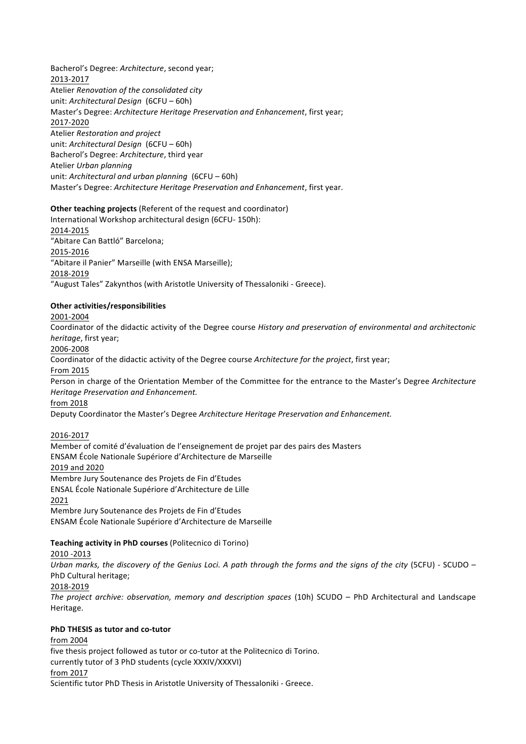Bacherol's Degree: Architecture, second year; 2013-2017 Atelier *Renovation of the consolidated city* unit: Architectural Design (6CFU – 60h) Master's Degree: Architecture Heritage Preservation and Enhancement, first year; 2017-2020 Atelier *Restoration and project* unit: Architectural Design (6CFU – 60h) Bacherol's Degree: Architecture, third year Atelier *Urban planning* unit: Architectural and urban planning (6CFU – 60h) Master's Degree: Architecture Heritage Preservation and Enhancement, first year.

### **Other teaching projects** (Referent of the request and coordinator)

International Workshop architectural design (6CFU- 150h): 2014-2015 "Abitare Can Battló" Barcelona; 2015-2016 "Abitare il Panier" Marseille (with ENSA Marseille); 2018-2019 "August Tales" Zakynthos (with Aristotle University of Thessaloniki - Greece).

# **Other activities/responsibilities**

2001-2004 

Coordinator of the didactic activity of the Degree course *History and preservation of environmental and architectonic heritage*, first year;

2006-2008 

Coordinator of the didactic activity of the Degree course Architecture for the project, first year;

From 2015

Person in charge of the Orientation Member of the Committee for the entrance to the Master's Degree Architecture *Heritage Preservation and Enhancement.*

from 2018 

Deputy Coordinator the Master's Degree Architecture Heritage Preservation and Enhancement.

# 2016-2017

Member of comité d'évaluation de l'enseignement de projet par des pairs des Masters ENSAM École Nationale Supériore d'Architecture de Marseille 2019 and 2020 Membre Jury Soutenance des Projets de Fin d'Etudes ENSAL École Nationale Supériore d'Architecture de Lille 2021 Membre Jury Soutenance des Projets de Fin d'Etudes ENSAM École Nationale Supériore d'Architecture de Marseille

# **Teaching activity in PhD courses (Politecnico di Torino)**

2010 -2013

Urban marks, the discovery of the Genius Loci. A path through the forms and the signs of the city (5CFU) - SCUDO – PhD Cultural heritage;

2018-2019

*The project archive: observation, memory and description spaces* (10h) SCUDO – PhD Architectural and Landscape Heritage.

#### **PhD THESIS as tutor and co-tutor**

from 2004 

five thesis project followed as tutor or co-tutor at the Politecnico di Torino.

currently tutor of 3 PhD students (cycle XXXIV/XXXVI)

# from 2017

Scientific tutor PhD Thesis in Aristotle University of Thessaloniki - Greece.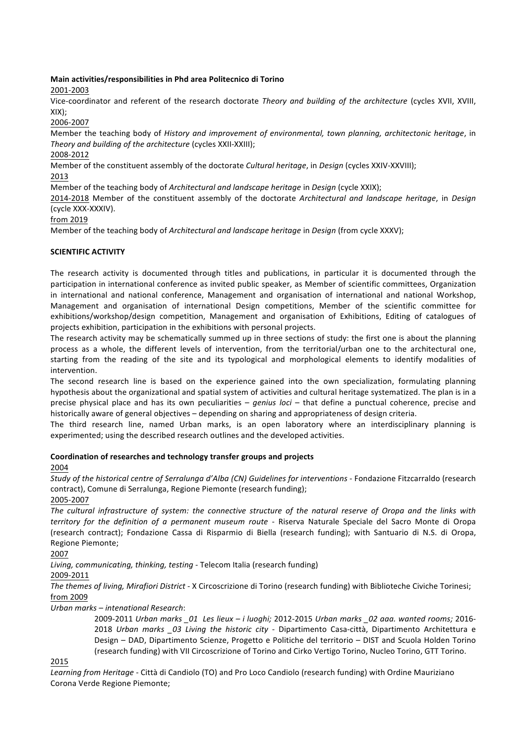# **Main activities/responsibilities in Phd area Politecnico di Torino**

# 2001-2003

Vice-coordinator and referent of the research doctorate Theory and building of the architecture (cycles XVII, XVIII, XIX);

2006-2007

Member the teaching body of *History and improvement of environmental, town planning, architectonic heritage*, in Theory and building of the architecture (cycles XXII-XXIII);

# 2008-2012

Member of the constituent assembly of the doctorate *Cultural heritage*, in *Design* (cycles XXIV-XXVIII);

2013 

Member of the teaching body of *Architectural and landscape heritage* in *Design* (cycle XXIX);

2014-2018 Member of the constituent assembly of the doctorate *Architectural and landscape heritage*, in *Design* (cycle XXX-XXXIV).

from 2019

Member of the teaching body of *Architectural and landscape heritage* in *Design* (from cycle XXXV);

# **SCIENTIFIC ACTIVITY**

The research activity is documented through titles and publications, in particular it is documented through the participation in international conference as invited public speaker, as Member of scientific committees, Organization in international and national conference, Management and organisation of international and national Workshop, Management and organisation of international Design competitions, Member of the scientific committee for exhibitions/workshop/design competition, Management and organisation of Exhibitions, Editing of catalogues of projects exhibition, participation in the exhibitions with personal projects.

The research activity may be schematically summed up in three sections of study: the first one is about the planning process as a whole, the different levels of intervention, from the territorial/urban one to the architectural one, starting from the reading of the site and its typological and morphological elements to identify modalities of intervention.

The second research line is based on the experience gained into the own specialization, formulating planning hypothesis about the organizational and spatial system of activities and cultural heritage systematized. The plan is in a precise physical place and has its own peculiarities – *genius loci* – that define a punctual coherence, precise and historically aware of general objectives – depending on sharing and appropriateness of design criteria.

The third research line, named Urban marks, is an open laboratory where an interdisciplinary planning is experimented; using the described research outlines and the developed activities.

# Coordination of researches and technology transfer groups and projects

2004 

*Study of the historical centre of Serralunga d'Alba (CN) Guidelines for interventions - Fondazione Fitzcarraldo (research* contract), Comune di Serralunga, Regione Piemonte (research funding);

2005-2007 

The cultural infrastructure of system: the connective structure of the natural reserve of Oropa and the links with *territory for the definition of a permanent museum route* - Riserva Naturale Speciale del Sacro Monte di Oropa (research contract); Fondazione Cassa di Risparmio di Biella (research funding); with Santuario di N.S. di Oropa, Regione Piemonte;

2007 

Living, communicating, thinking, testing - Telecom Italia (research funding)

2009-2011 

The themes of living, Mirafiori District - X Circoscrizione di Torino (research funding) with Biblioteche Civiche Torinesi; from 2009 

*Urban marks – intenational Research*:

2009-2011 *Urban marks \_01 Les lieux – i luoghi;* 2012-2015 *Urban marks \_02 aaa. wanted rooms;* 2016- 2018 *Urban marks \_03 Living the historic city* - Dipartimento Casa-città, Dipartimento Architettura e Design - DAD, Dipartimento Scienze, Progetto e Politiche del territorio - DIST and Scuola Holden Torino (research funding) with VII Circoscrizione of Torino and Cirko Vertigo Torino, Nucleo Torino, GTT Torino.

# 2015

Learning from Heritage - Città di Candiolo (TO) and Pro Loco Candiolo (research funding) with Ordine Mauriziano Corona Verde Regione Piemonte;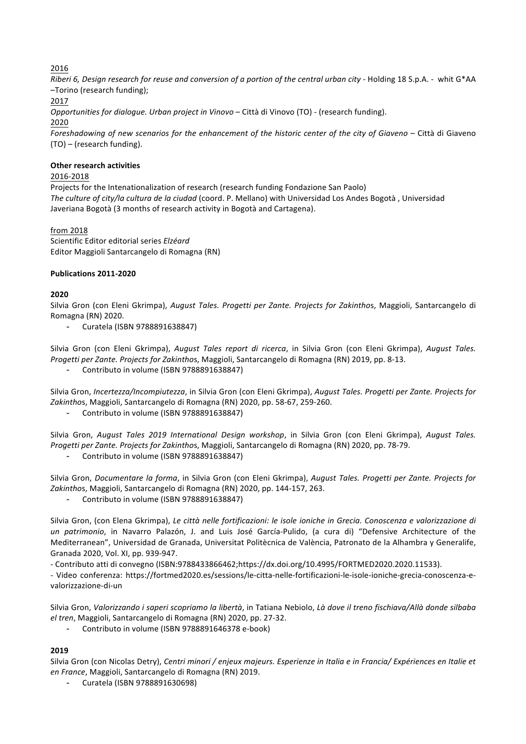2016

*Riberi 6, Design research for reuse and conversion of a portion of the central urban city - Holding 18 S.p.A. - whit G\*AA* –Torino (research funding); 2017 

*Opportunities for dialogue. Urban project in Vinovo* – Città di Vinovo (TO) - (research funding). 2020 Foreshadowing of new scenarios for the enhancement of the historic center of the city of Giaveno – Città di Giaveno  $(TO)$  – (research funding).

### **Other research activities**

### 2016-2018

Projects for the Intenationalization of research (research funding Fondazione San Paolo) The culture of city/la cultura de la ciudad (coord. P. Mellano) with Universidad Los Andes Bogotà, Universidad Javeriana Bogotà (3 months of research activity in Bogotà and Cartagena).

### from 2018

Scientific Editor editorial series *Elzéard* Editor Maggioli Santarcangelo di Romagna (RN)

#### **Publications 2011-2020**

### **2020**

Silvia Gron (con Eleni Gkrimpa), *August Tales. Progetti per Zante. Projects for Zakinthos*, Maggioli, Santarcangelo di Romagna (RN) 2020.

Curatela (ISBN 9788891638847)

Silvia Gron (con Eleni Gkrimpa), *August Tales report di ricerca*, in Silvia Gron (con Eleni Gkrimpa), *August Tales. Progetti per Zante. Projects for Zakinthos, Maggioli, Santarcangelo di Romagna (RN)* 2019, pp. 8-13.

- Contributo in volume (ISBN 9788891638847)

Silvia Gron, Incertezza/Incompiutezza, in Silvia Gron (con Eleni Gkrimpa), August Tales. Progetti per Zante. Projects for Zakinthos, Maggioli, Santarcangelo di Romagna (RN) 2020, pp. 58-67, 259-260.

Contributo in volume (ISBN 9788891638847)

Silvia Gron, August Tales 2019 International Design workshop, in Silvia Gron (con Eleni Gkrimpa), August Tales. *Progetti per Zante. Projects for Zakinthos, Maggioli, Santarcangelo di Romagna (RN) 2020, pp. 78-79.* 

Contributo in volume (ISBN 9788891638847)

Silvia Gron, *Documentare la forma*, in Silvia Gron (con Eleni Gkrimpa), August Tales. Progetti per Zante. Projects for Zakinthos, Maggioli, Santarcangelo di Romagna (RN) 2020, pp. 144-157, 263.

Contributo in volume (ISBN 9788891638847)

Silvia Gron, (con Elena Gkrimpa), Le città nelle fortificazioni: le isole ioniche in Grecia. Conoscenza e valorizzazione di un patrimonio, in Navarro Palazón, J. and Luis José García-Pulido, (a cura di) "Defensive Architecture of the Mediterranean", Universidad de Granada, Universitat Politècnica de València, Patronato de la Alhambra y Generalife, Granada 2020, Vol. XI, pp. 939-947.

- Contributo atti di convegno (ISBN:9788433866462;https://dx.doi.org/10.4995/FORTMED2020.2020.11533).

- Video conferenza: https://fortmed2020.es/sessions/le-citta-nelle-fortificazioni-le-isole-ioniche-grecia-conoscenza-evalorizzazione-di-un

Silvia Gron, Valorizzando i saperi scopriamo la libertà, in Tatiana Nebiolo, Là dove il treno fischiava/Allà donde silbaba *el tren*, Maggioli, Santarcangelo di Romagna (RN) 2020, pp. 27-32.

Contributo in volume (ISBN 9788891646378 e-book)

# **2019**

Silvia Gron (con Nicolas Detry), Centri minori / enjeux majeurs. Esperienze in Italia e in Francia/ Expériences en Italie et *en France*, Maggioli, Santarcangelo di Romagna (RN) 2019.

Curatela (ISBN 9788891630698)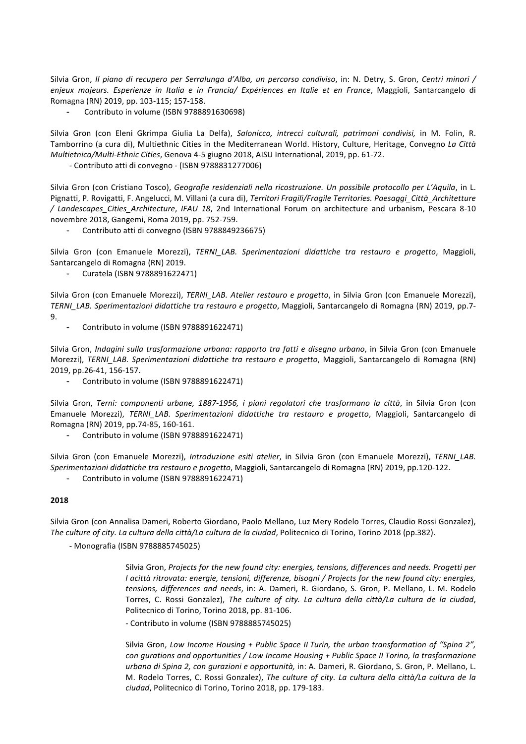Silvia Gron, *Il piano di recupero per Serralunga d'Alba, un percorso condiviso*, in: N. Detry, S. Gron, Centri minori / enjeux majeurs. Esperienze in Italia e in Francia/ Expériences en Italie et en France, Maggioli, Santarcangelo di Romagna (RN) 2019, pp. 103-115; 157-158.

Contributo in volume (ISBN 9788891630698)

Silvia Gron (con Eleni Gkrimpa Giulia La Delfa), Salonicco, intrecci culturali, patrimoni condivisi, in M. Folin, R. Tamborrino (a cura di), Multiethnic Cities in the Mediterranean World. History, Culture, Heritage, Convegno *La Città Multietnica/Multi-Ethnic Cities*, Genova 4-5 giugno 2018, AISU International, 2019, pp. 61-72.

- Contributo atti di convegno - (ISBN 9788831277006)

Silvia Gron (con Cristiano Tosco), *Geografie residenziali nella ricostruzione*. Un possibile protocollo per L'Aquila, in L. Pignatti, P. Rovigatti, F. Angelucci, M. Villani (a cura di), *Territori Fragili/Fragile Territories. Paesaggi Città Architetture / Landescapes\_Cities\_Architecture*, *IFAU 18*, 2nd International Forum on architecture and urbanism, Pescara 8-10 novembre 2018, Gangemi, Roma 2019, pp. 752-759.

Contributo atti di convegno (ISBN 9788849236675)

Silvia Gron (con Emanuele Morezzi), TERNI\_LAB. Sperimentazioni didattiche tra restauro e progetto, Maggioli, Santarcangelo di Romagna (RN) 2019.

Curatela (ISBN 9788891622471)

Silvia Gron (con Emanuele Morezzi), *TERNI\_LAB. Atelier restauro e progetto*, in Silvia Gron (con Emanuele Morezzi), *TERNI\_LAB. Sperimentazioni didattiche tra restauro e progetto*, Maggioli, Santarcangelo di Romagna (RN) 2019, pp.7- 9.

Contributo in volume (ISBN 9788891622471)

Silvia Gron, *Indagini sulla trasformazione urbana: rapporto tra fatti e disegno urbano*, in Silvia Gron (con Emanuele Morezzi), TERNI LAB. Sperimentazioni didattiche tra restauro e progetto, Maggioli, Santarcangelo di Romagna (RN) 2019, pp.26-41, 156-157.

Contributo in volume (ISBN 9788891622471)

Silvia Gron, Terni: componenti urbane, 1887-1956, i piani regolatori che trasformano la città, in Silvia Gron (con Emanuele Morezzi), *TERNI\_LAB. Sperimentazioni didattiche tra restauro e progetto*, Maggioli, Santarcangelo di Romagna (RN) 2019, pp.74-85, 160-161.

Contributo in volume (ISBN 9788891622471)

Silvia Gron (con Emanuele Morezzi), *Introduzione esiti atelier*, in Silvia Gron (con Emanuele Morezzi), TERNI\_LAB. *Sperimentazioni didattiche tra restauro e progetto*, Maggioli, Santarcangelo di Romagna (RN) 2019, pp.120-122.

- Contributo in volume (ISBN 9788891622471)

#### **2018**

Silvia Gron (con Annalisa Dameri, Roberto Giordano, Paolo Mellano, Luz Mery Rodelo Torres, Claudio Rossi Gonzalez), The culture of city. La cultura della città/La cultura de la ciudad, Politecnico di Torino, Torino 2018 (pp.382).

- Monografia (ISBN 9788885745025)

Silvia Gron, *Projects for the new found city: energies, tensions, differences and needs. Progetti per l* acittà ritrovata: energie, tensioni, differenze, bisogni / Projects for the new found city: energies, *tensions, differences and needs, in: A. Dameri, R. Giordano, S. Gron, P. Mellano, L. M. Rodelo* Torres, C. Rossi Gonzalez), The culture of city. La cultura della città/La cultura de la ciudad, Politecnico di Torino, Torino 2018, pp. 81-106.

- Contributo in volume (ISBN 9788885745025)

Silvia Gron, *Low Income Housing + Public Space II Turin, the urban transformation of "Spina 2"*, *con gurations and opportunities* / Low Income Housing + Public Space II Torino, la trasformazione urbana di Spina 2, con gurazioni e opportunità, in: A. Dameri, R. Giordano, S. Gron, P. Mellano, L. M. Rodelo Torres, C. Rossi Gonzalez), *The culture of city. La cultura della città/La cultura de la ciudad*, Politecnico di Torino, Torino 2018, pp. 179-183.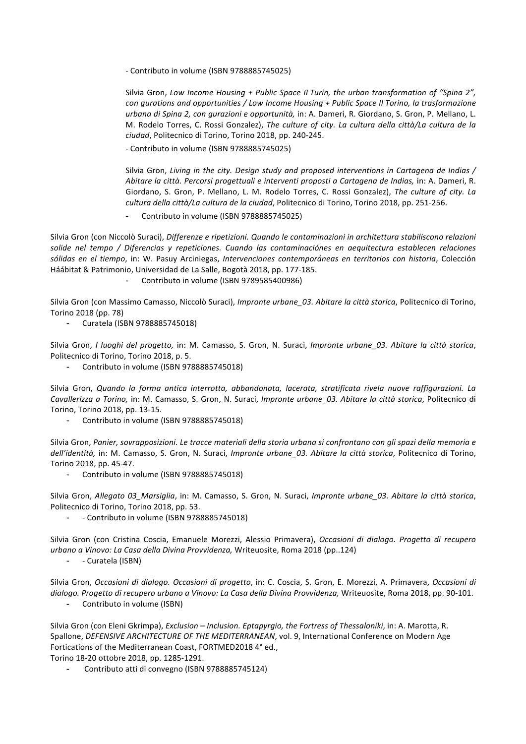- Contributo in volume (ISBN 9788885745025)

Silvia Gron, Low Income Housing + Public Space II Turin, the urban transformation of "Spina 2", *con qurations and opportunities* / Low Income Housing + Public Space II Torino, la trasformazione urbana di Spina 2, con gurazioni e opportunità, in: A. Dameri, R. Giordano, S. Gron, P. Mellano, L. M. Rodelo Torres, C. Rossi Gonzalez), *The culture of city. La cultura della città/La cultura de la ciudad*, Politecnico di Torino, Torino 2018, pp. 240-245.

- Contributo in volume (ISBN 9788885745025)

Silvia Gron, *Living in the city. Design study and proposed interventions in Cartagena de Indias* / *Abitare la città. Percorsi progettuali e interventi proposti a Cartagena de Indias,* in: A. Dameri, R. Giordano, S. Gron, P. Mellano, L. M. Rodelo Torres, C. Rossi Gonzalez), *The culture of city. La cultura della città/La cultura de la ciudad*, Politecnico di Torino, Torino 2018, pp. 251-256.

Contributo in volume (ISBN 9788885745025)

Silvia Gron (con Niccolò Suraci), *Differenze e ripetizioni. Quando le contaminazioni in architettura stabiliscono relazioni* solide nel tempo / Diferencias y repeticiones. Cuando las contaminaciónes en aequitectura establecen relaciones sólidas en el tiempo, in: W. Pasuy Arciniegas, Intervenciones contemporáneas en territorios con historia, Colección Háábitat & Patrimonio, Universidad de La Salle, Bogotà 2018, pp. 177-185.

Contributo in volume (ISBN 9789585400986)

Silvia Gron (con Massimo Camasso, Niccolò Suraci), *Impronte urbane 03. Abitare la città storica*, Politecnico di Torino, Torino 2018 (pp. 78)

Curatela (ISBN 9788885745018)

Silvia Gron, *I luoghi del progetto,* in: M. Camasso, S. Gron, N. Suraci, *Impronte urbane 03. Abitare la città storica*, Politecnico di Torino, Torino 2018, p. 5.

Contributo in volume (ISBN 9788885745018)

Silvia Gron, Quando la forma antica interrotta, abbandonata, lacerata, stratificata rivela nuove raffigurazioni. La *Cavallerizza a Torino,* in: M. Camasso, S. Gron, N. Suraci, *Impronte urbane\_03. Abitare la città storica*, Politecnico di Torino, Torino 2018, pp. 13-15.

Contributo in volume (ISBN 9788885745018)

Silvia Gron, Panier, sovrapposizioni. Le tracce materiali della storia urbana si confrontano con gli spazi della memoria e dell'identità, in: M. Camasso, S. Gron, N. Suraci, *Impronte urbane 03. Abitare la città storica*, Politecnico di Torino, Torino 2018, pp. 45-47.

Contributo in volume (ISBN 9788885745018)

Silvia Gron, *Allegato 03 Marsiglia*, in: M. Camasso, S. Gron, N. Suraci, *Impronte urbane 03. Abitare la città storica*, Politecnico di Torino, Torino 2018, pp. 53.

- - Contributo in volume (ISBN 9788885745018)

Silvia Gron (con Cristina Coscia, Emanuele Morezzi, Alessio Primavera), Occasioni di dialogo. Progetto di recupero *urbano a Vinovo: La Casa della Divina Provvidenza, Writeuosite, Roma 2018 (pp..124)* 

- - Curatela (ISBN)

Silvia Gron, *Occasioni di dialogo. Occasioni di progetto*, in: C. Coscia, S. Gron, E. Morezzi, A. Primavera, *Occasioni di* dialogo. Progetto di recupero urbano a Vinovo: La Casa della Divina Provvidenza, Writeuosite, Roma 2018, pp. 90-101.

Contributo in volume (ISBN)

Silvia Gron (con Eleni Gkrimpa), *Exclusion* – *Inclusion. Eptapyrgio, the Fortress of Thessaloniki*, in: A. Marotta, R. Spallone, *DEFENSIVE ARCHITECTURE OF THE MEDITERRANEAN*, vol. 9, International Conference on Modern Age Fortications of the Mediterranean Coast, FORTMED2018 4° ed.,

Torino 18-20 ottobre 2018, pp. 1285-1291.

Contributo atti di convegno (ISBN 9788885745124)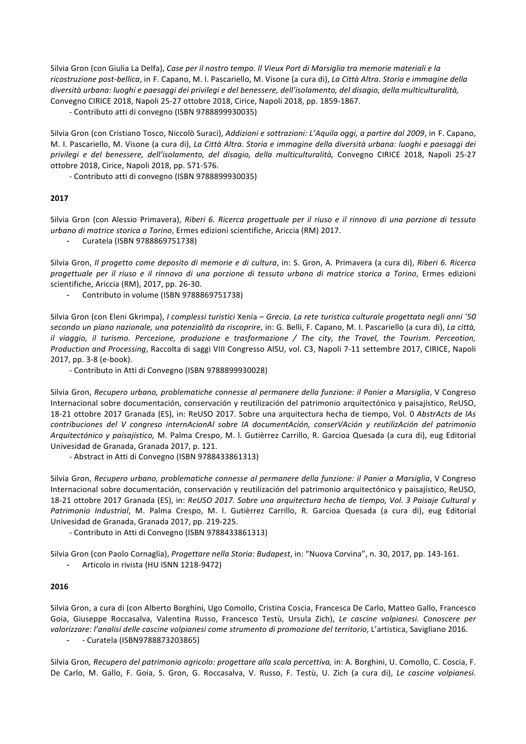Silvia Gron (con Giulia La Delfa), *Case per il nostro tempo. Il Vieux Port di Marsiglia tra memorie materiali e la* ricostruzione post-bellica, in F. Capano, M. I. Pascariello, M. Visone (a cura di), *La Città Altra. Storia e immagine della* diversità urbana: luoghi e paesaggi dei privilegi e del benessere, dell'isolamento, del disagio, della multiculturalità, Convegno CIRICE 2018, Napoli 25-27 ottobre 2018, Cirice, Napoli 2018, pp. 1859-1867.

- Contributo atti di convegno (ISBN 9788899930035)

Silvia Gron (con Cristiano Tosco, Niccolò Suraci), *Addizioni e sottrazioni: L'Aquila oggi, a partire dal 2009*, in F. Capano, M. I. Pascariello, M. Visone (a cura di), La Città Altra. Storia e immagine della diversità urbana: luoghi e paesaggi dei *privilegi e del benessere, dell'isolamento, del disagio, della multiculturalità,* Convegno CIRICE 2018, Napoli 25-27 ottobre 2018, Cirice, Napoli 2018, pp. 571-576.

- Contributo atti di convegno (ISBN 9788899930035)

#### **2017**

Silvia Gron (con Alessio Primavera), Riberi 6. Ricerca progettuale per il riuso e il rinnovo di una porzione di tessuto *urbano di matrice storica a Torino*, Ermes edizioni scientifiche, Ariccia (RM) 2017.

Curatela (ISBN 9788869751738)

Silvia Gron, *Il progetto come deposito di memorie e di cultura*, in: S. Gron, A. Primavera (a cura di), Riberi 6. Ricerca *progettuale per il riuso e il rinnovo di una porzione di tessuto urbano di matrice storica a Torino*, Ermes edizioni scientifiche, Ariccia (RM), 2017, pp. 26-30.

Contributo in volume (ISBN 9788869751738)

Silvia Gron (con Eleni Gkrimpa), *I complessi turistici* Xenía – Grecia. La rete turistica culturale progettata negli anni '50 secondo un piano nazionale, una potenzialità da riscoprire, in: G. Belli, F. Capano, M. I. Pascariello (a cura di), *La città*, *il* viaggio, il turismo. Percezione, produzione e trasformazione / The city, the Travel, the Tourism. Perceotion, *Production and Processing*, Raccolta di saggi VIII Congresso AISU, vol. C3, Napoli 7-11 settembre 2017, CIRICE, Napoli 2017, pp. 3-8 (e-book).

- Contributo in Atti di Convegno (ISBN 9788899930028)

Silvia Gron, Recupero urbano, problematiche connesse al permanere della funzione: il Panier a Marsiglia, V Congreso Internacional sobre documentación, conservación y reutilización del patrimonio arquitectónico y paisajístico, ReUSO, 18-21 ottobre 2017 Granada (ES), in: ReUSO 2017. Sobre una arquitectura hecha de tiempo, Vol. 0 AbstrActs de lAs contribuciones del V congreso internAcionAl sobre lA documentAción, conserVAción y reutilizAción del patrimonio *Arquitectónico y paisajístico,* M. Palma Crespo, M. l. Gutièrrez Carrillo, R. Garcioa Quesada (a cura di), eug Editorial Univesidad de Granada, Granada 2017, p. 121.

- Abstract in Atti di Convegno (ISBN 9788433861313)

Silvia Gron, Recupero urbano, problematiche connesse al permanere della funzione: il Panier a Marsiglia, V Congreso Internacional sobre documentación, conservación y reutilización del patrimonio arquitectónico y paisajístico, ReUSO, 18-21 ottobre 2017 Granada (ES), in: *ReUSO 2017. Sobre una arquitectura hecha de tiempo, Vol. 3 Paisaje Cultural y* Patrimonio Industrial, M. Palma Crespo, M. l. Gutièrrez Carrillo, R. Garcioa Quesada (a cura di), eug Editorial Univesidad de Granada, Granada 2017, pp. 219-225.

- Contributo in Atti di Convegno (ISBN 9788433861313)

Silvia Gron (con Paolo Cornaglia), *Progettare nella Storia: Budapest*, in: "Nuova Corvina", n. 30, 2017, pp. 143-161.

Articolo in rivista (HU ISNN 1218-9472)

#### **2016**

Silvia Gron, a cura di (con Alberto Borghini, Ugo Comollo, Cristina Coscia, Francesca De Carlo, Matteo Gallo, Francesco Goia, Giuseppe Roccasalva, Valentina Russo, Francesco Testù, Ursula Zich), Le cascine volpianesi. Conoscere per valorizzare: l'analisi delle cascine volpianesi come strumento di promozione del territorio, L'artistica, Savigliano 2016. - - Curatela (ISBN9788873203865)

Silvia Gron, Recupero del patrimonio agricolo: progettare alla scala percettiva, in: A. Borghini, U. Comollo, C. Coscia, F. De Carlo, M. Gallo, F. Goia, S. Gron, G. Roccasalva, V. Russo, F. Testù, U. Zich (a cura di), Le cascine volpianesi.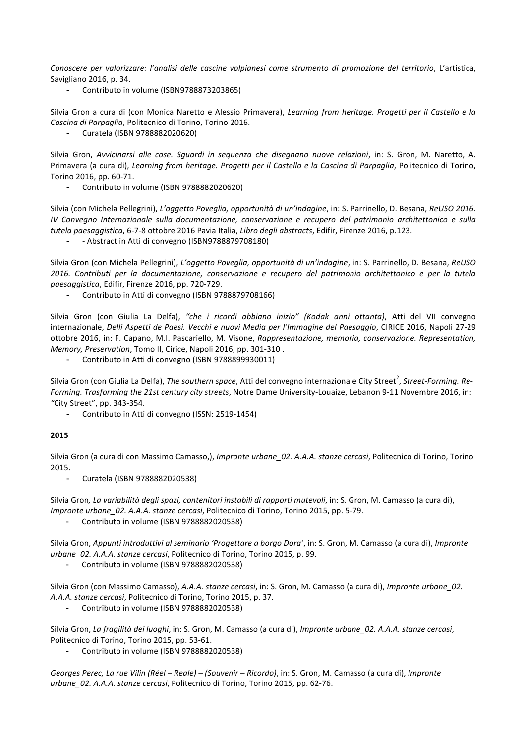Conoscere per valorizzare: l'analisi delle cascine volpianesi come strumento di promozione del territorio, L'artistica, Savigliano 2016, p. 34.

- Contributo in volume (ISBN9788873203865)

Silvia Gron a cura di (con Monica Naretto e Alessio Primavera), *Learning from heritage. Progetti per il Castello e la Cascina di Parpaglia*, Politecnico di Torino, Torino 2016.

- Curatela (ISBN 9788882020620)

Silvia Gron, Avvicinarsi alle cose. Squardi in sequenza che disegnano nuove relazioni, in: S. Gron, M. Naretto, A. Primavera (a cura di), *Learning from heritage. Progetti per il Castello e la Cascina di Parpaglia*, Politecnico di Torino, Torino 2016, pp. 60-71.

Contributo in volume (ISBN 9788882020620)

Silvia (con Michela Pellegrini), *L'oggetto Poveglia, opportunità di un'indagine*, in: S. Parrinello, D. Besana, *ReUSO 2016. IV Convegno Internazionale sulla documentazione, conservazione e recupero del patrimonio architettonico e sulla tutela paesaggistica*, 6-7-8 ottobre 2016 Pavia Italia, *Libro degli abstracts*, Edifir, Firenze 2016, p.123.

- Abstract in Atti di convegno (ISBN9788879708180)

Silvia Gron (con Michela Pellegrini), *L'oggetto Poveglia, opportunità di un'indagine*, in: S. Parrinello, D. Besana, *ReUSO* 2016. Contributi per la documentazione, conservazione e recupero del patrimonio architettonico e per la tutela *paesaggistica*, Edifir, Firenze 2016, pp. 720-729.

Contributo in Atti di convegno (ISBN 9788879708166)

Silvia Gron (con Giulia La Delfa), "che i ricordi abbiano inizio" (Kodak anni ottanta), Atti del VII convegno internazionale, *Delli Aspetti de Paesi. Vecchi e nuovi Media per l'Immagine del Paesaggio*, CIRICE 2016, Napoli 27-29 ottobre 2016, in: F. Capano, M.I. Pascariello, M. Visone, *Rappresentazione, memoria, conservazione. Representation, Memory, Preservation, Tomo II, Cirice, Napoli 2016, pp. 301-310.* 

Contributo in Atti di convegno (ISBN 9788899930011)

Silvia Gron (con Giulia La Delfa), *The southern space*, Atti del convegno internazionale City Street<sup>2</sup>, S*treet-Forming. Re-*Forming. Trasforming the 21st century city streets, Notre Dame University-Louaize, Lebanon 9-11 Novembre 2016, in: *"*City Street", pp. 343-354. 

Contributo in Atti di convegno (ISSN: 2519-1454)

#### **2015**

Silvia Gron (a cura di con Massimo Camasso,), *Impronte urbane\_02. A.A.A. stanze cercasi*, Politecnico di Torino, Torino 2015.

Curatela (ISBN 9788882020538)

Silvia Gron, La variabilità degli spazi, contenitori instabili di rapporti mutevoli, in: S. Gron, M. Camasso (a cura di), *Impronte urbane 02. A.A.A. stanze cercasi,* Politecnico di Torino, Torino 2015, pp. 5-79.

Contributo in volume (ISBN 9788882020538)

Silvia Gron, Appunti introduttivi al seminario 'Progettare a borgo Dora', in: S. Gron, M. Camasso (a cura di), Impronte *urbane\_02. A.A.A. stanze cercasi*, Politecnico di Torino, Torino 2015, p. 99.

Contributo in volume (ISBN 9788882020538)

Silvia Gron (con Massimo Camasso), A.A.A. stanze cercasi, in: S. Gron, M. Camasso (a cura di), *Impronte urbane\_02. A.A.A. stanze cercasi*, Politecnico di Torino, Torino 2015, p. 37.

Contributo in volume (ISBN 9788882020538)

Silvia Gron, La fragilità dei luoghi, in: S. Gron, M. Camasso (a cura di), *Impronte urbane 02. A.A.A. stanze cercasi*, Politecnico di Torino, Torino 2015, pp. 53-61.

Contributo in volume (ISBN 9788882020538)

*Georges Perec, La rue Vilin (Réel – Reale) – (Souvenir – Ricordo), in: S. Gron, M. Camasso (a cura di), Impronte urbane\_02. A.A.A. stanze cercasi*, Politecnico di Torino, Torino 2015, pp. 62-76.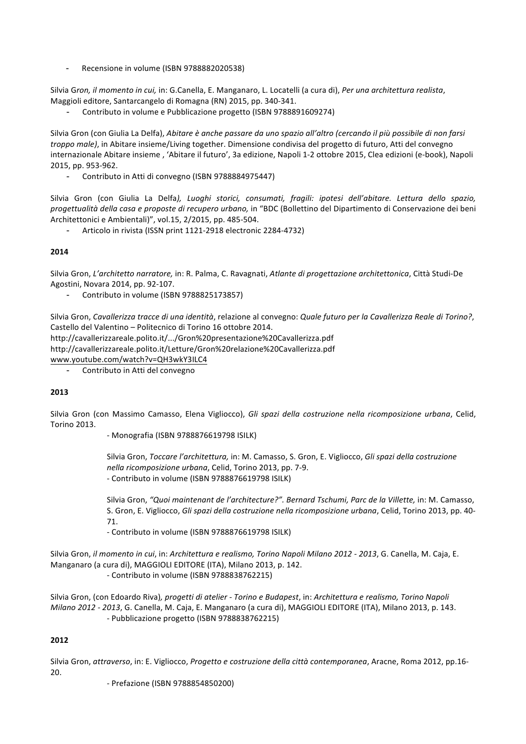Recensione in volume (ISBN 9788882020538)

Silvia Gron, il momento in cui, in: G.Canella, E. Manganaro, L. Locatelli (a cura di), Per una architettura realista, Maggioli editore, Santarcangelo di Romagna (RN) 2015, pp. 340-341.

- Contributo in volume e Pubblicazione progetto (ISBN 9788891609274)

Silvia Gron (con Giulia La Delfa), *Abitare è anche passare da uno spazio all'altro* (cercando il più possibile di non farsi *troppo male)*, in Abitare insieme/Living together. Dimensione condivisa del progetto di futuro, Atti del convegno internazionale Abitare insieme , 'Abitare il futuro', 3a edizione, Napoli 1-2 ottobre 2015, Clea edizioni (e-book), Napoli 2015, pp. 953-962.

Contributo in Atti di convegno (ISBN 9788884975447)

Silvia Gron (con Giulia La Delfa), Luoghi storici, consumati, fragili: ipotesi dell'abitare. Lettura dello spazio, *progettualità della casa e proposte di recupero urbano,* in "BDC (Bollettino del Dipartimento di Conservazione dei beni Architettonici e Ambientali)", vol.15, 2/2015, pp. 485-504.

Articolo in rivista (ISSN print 1121-2918 electronic 2284-4732)

### **2014**

Silvia Gron, *L'architetto narratore,* in: R. Palma, C. Ravagnati, *Atlante di progettazione architettonica*, Città Studi-De Agostini, Novara 2014, pp. 92-107.

Contributo in volume (ISBN 9788825173857)

Silvia Gron, *Cavallerizza tracce di una identità*, relazione al convegno: Quale futuro per la Cavallerizza Reale di Torino?, Castello del Valentino - Politecnico di Torino 16 ottobre 2014.

http://cavallerizzareale.polito.it/.../Gron%20presentazione%20Cavallerizza.pdf

http://cavallerizzareale.polito.it/Letture/Gron%20relazione%20Cavallerizza.pdf

www.youtube.com/watch?v=QH3wkY3ILC4

- Contributo in Atti del convegno

#### **2013**

Silvia Gron (con Massimo Camasso, Elena Vigliocco), *Gli spazi della costruzione nella ricomposizione urbana*, Celid, Torino 2013.

- Monografia (ISBN 9788876619798 ISILK)

Silvia Gron, *Toccare l'architettura,* in: M. Camasso, S. Gron, E. Vigliocco, *Gli spazi della costruzione nella ricomposizione urbana*, Celid, Torino 2013, pp. 7-9. - Contributo in volume (ISBN 9788876619798 ISILK)

Silvia Gron, "Quoi maintenant de l'architecture?". Bernard Tschumi, Parc de la Villette, in: M. Camasso, S. Gron, E. Vigliocco, *Gli spazi della costruzione nella ricomposizione urbana*, Celid, Torino 2013, pp. 40-71.

- Contributo in volume (ISBN 9788876619798 ISILK)

Silvia Gron, *il momento in cui*, in: Architettura e realismo, Torino Napoli Milano 2012 - 2013, G. Canella, M. Caja, E. Manganaro (a cura di), MAGGIOLI EDITORE (ITA), Milano 2013, p. 142. - Contributo in volume (ISBN 9788838762215)

Silvia Gron, (con Edoardo Riva), progetti di atelier - Torino e Budapest, in: Architettura e realismo, Torino Napoli *Milano 2012 - 2013*, G. Canella, M. Caja, E. Manganaro (a cura di), MAGGIOLI EDITORE (ITA), Milano 2013, p. 143. - Pubblicazione progetto (ISBN 9788838762215)

# **2012**

Silvia Gron, attraverso, in: E. Vigliocco, Progetto e costruzione della città contemporanea, Aracne, Roma 2012, pp.16-20.

- Prefazione (ISBN 9788854850200)